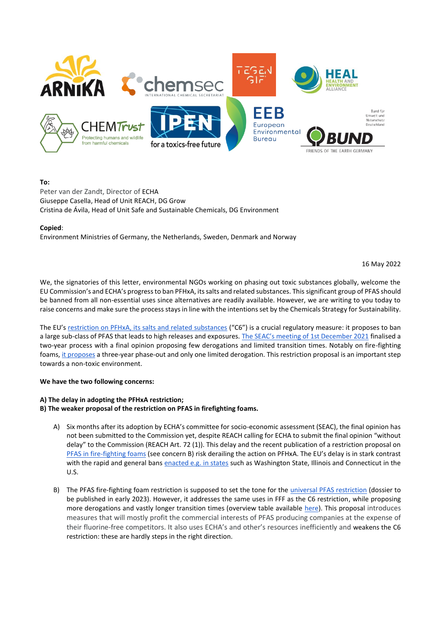

# **To:**

Peter van der Zandt, Director of ECHA Giuseppe Casella, Head of Unit REACH, DG Grow Cristina de Ávila, Head of Unit Safe and Sustainable Chemicals, DG Environment

# **Copied**:

Environment Ministries of Germany, the Netherlands, Sweden, Denmark and Norway

16 May 2022

We, the signatories of this letter, environmental NGOs working on phasing out toxic substances globally, welcome the EU Commission's and ECHA's progress to ban PFHxA, its salts and related substances. This significant group of PFAS should be banned from all non-essential uses since alternatives are readily available. However, we are writing to you today to raise concerns and make sure the process stays in line with the intentions set by the Chemicals Strategy for Sustainability.

The EU's [restriction on PFHxA, its salts and related substances](https://www.echa.europa.eu/web/guest/registry-of-restriction-intentions/-/dislist/details/0b0236e18323a25d) ("C6") is a crucial regulatory measure: it proposes to ban a large sub-class of PFAS that leads to high releases and exposures. [The SEAC's meeting of 1st December 2021](https://echa.europa.eu/-/scientific-committees-support-further-restrictions-of-pfas) finalised a two-year process with a final opinion proposing few derogations and limited transition times. Notably on fire-fighting foams[, it proposes](https://www.echa.europa.eu/documents/10162/e7622858-3bf9-01a7-3f7e-0d438142db31) a three-year phase-out and only one limited derogation. This restriction proposal is an important step towards a non-toxic environment.

### **We have the two following concerns:**

### **A) The delay in adopting the PFHxA restriction;**

**B) The weaker proposal of the restriction on PFAS in firefighting foams.**

- A) Six months after its adoption by ECHA's committee for socio-economic assessment (SEAC), the final opinion has not been submitted to the Commission yet, despite REACH calling for ECHA to submit the final opinion "without delay" to the Commission (REACH Art. 72 (1)). This delay and the recent publication of a restriction proposal on [PFAS in fire-fighting foams](https://eur-lex.europa.eu/legal-content/EN/TXT/HTML/?uri=CELEX:52020DC0667&from=EN) (see concern B) risk derailing the action on PFHxA. The EU's delay is in stark contrast with the rapid and general bans [enacted e.g. in states](https://docs.google.com/spreadsheets/d/1qc2rjIto5DMS0sPng895-r-kvU8LKhQz/edit?usp=sharing&ouid=108579369432791611656&rtpof=true&sd=true) such as Washington State, Illinois and Connecticut in the U.S.
- B) The PFAS fire-fighting foam restriction is supposed to set the tone for the [universal PFAS restriction](https://www.echa.europa.eu/web/guest/registry-of-restriction-intentions/-/dislist/details/0b0236e18663449b) (dossier to be published in early 2023). However, it addresses the same uses in FFF as the C6 restriction, while proposing more derogations and vastly longer transition times (overview table available [here\)](https://docs.google.com/spreadsheets/d/1qc2rjIto5DMS0sPng895-r-kvU8LKhQz/edit?usp=sharing&ouid=108579369432791611656&rtpof=true&sd=true). This proposal introduces measures that will mostly profit the commercial interests of PFAS producing companies at the expense of their fluorine-free competitors. It also uses ECHA's and other's resources inefficiently and weakens the C6 restriction: these are hardly steps in the right direction.